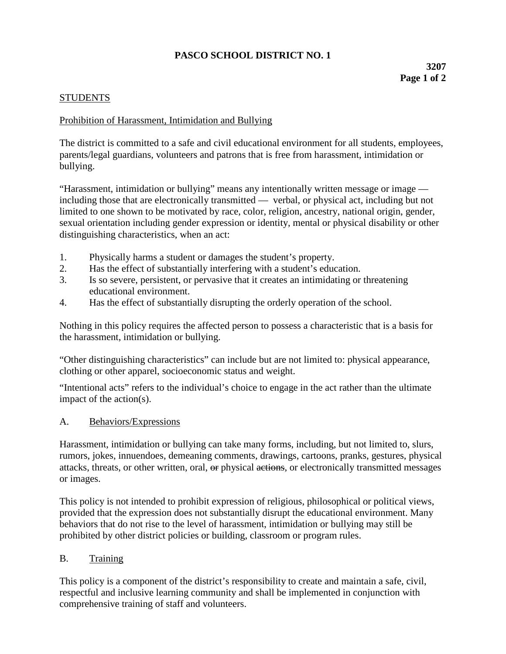# **PASCO SCHOOL DISTRICT NO. 1**

## STUDENTS

## Prohibition of Harassment, Intimidation and Bullying

The district is committed to a safe and civil educational environment for all students, employees, parents/legal guardians, volunteers and patrons that is free from harassment, intimidation or bullying.

"Harassment, intimidation or bullying" means any intentionally written message or image including those that are electronically transmitted — verbal, or physical act, including but not limited to one shown to be motivated by race, color, religion, ancestry, national origin, gender, sexual orientation including gender expression or identity, mental or physical disability or other distinguishing characteristics, when an act:

- 1. Physically harms a student or damages the student's property.
- 2. Has the effect of substantially interfering with a student's education.
- 3. Is so severe, persistent, or pervasive that it creates an intimidating or threatening educational environment.
- 4. Has the effect of substantially disrupting the orderly operation of the school.

Nothing in this policy requires the affected person to possess a characteristic that is a basis for the harassment, intimidation or bullying.

"Other distinguishing characteristics" can include but are not limited to: physical appearance, clothing or other apparel, socioeconomic status and weight.

"Intentional acts" refers to the individual's choice to engage in the act rather than the ultimate impact of the action(s).

#### A. Behaviors/Expressions

Harassment, intimidation or bullying can take many forms, including, but not limited to, slurs, rumors, jokes, innuendoes, demeaning comments, drawings, cartoons, pranks, gestures, physical attacks, threats, or other written, oral, or physical actions, or electronically transmitted messages or images.

This policy is not intended to prohibit expression of religious, philosophical or political views, provided that the expression does not substantially disrupt the educational environment. Many behaviors that do not rise to the level of harassment, intimidation or bullying may still be prohibited by other district policies or building, classroom or program rules.

#### B. Training

This policy is a component of the district's responsibility to create and maintain a safe, civil, respectful and inclusive learning community and shall be implemented in conjunction with comprehensive training of staff and volunteers.